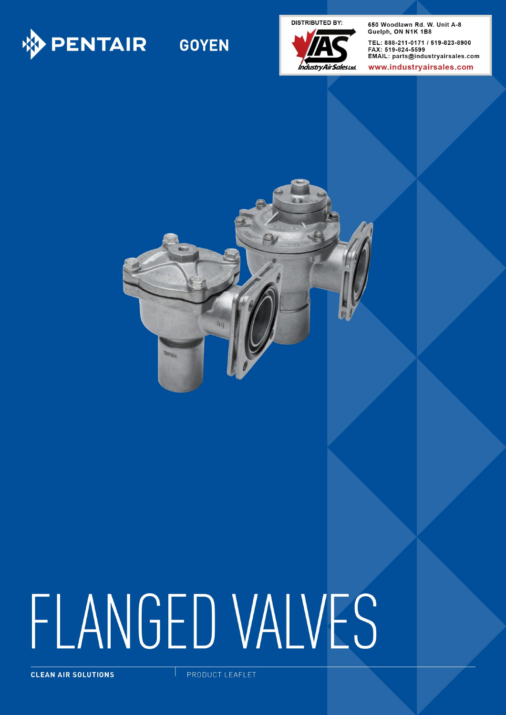

# **GOYEN**

**DISTRIBUTED BY:** 



650 Woodlawn Rd. W. Unit A-8 Guelph, ON N1K 1B8 TEL: 888-211-0171 / 519-823-8900 FAX: 519-824-5599 EMAIL: parts@industryairsales.com

www.industryairsales.com



# FLANGED VALVES

CLEAN AIR SOLUTIONS

PRODUCT LEAFLET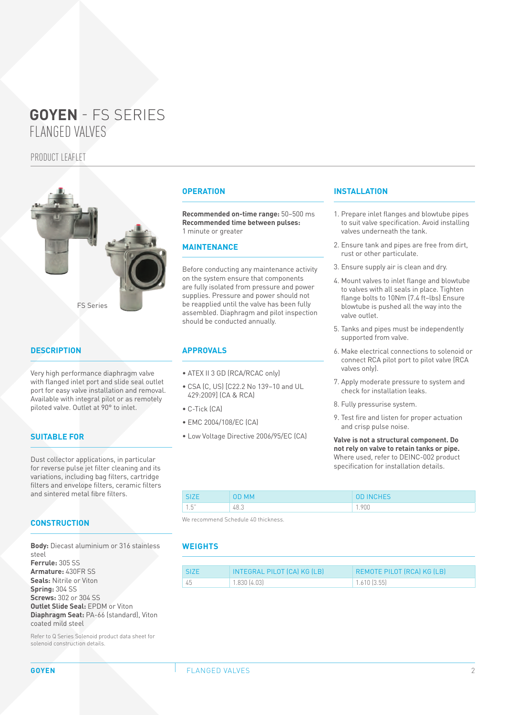## PRODUCT LEAFLET



## **DESCRIPTION**

Very high performance diaphragm valve with flanged inlet port and slide seal outlet port for easy valve installation and removal. Available with integral pilot or as remotely piloted valve. Outlet at 90° to inlet.

#### **SUITABLE FOR**

Dust collector applications, in particular for reverse pulse jet filter cleaning and its variations, including bag filters, cartridge filters and envelope filters, ceramic filters and sintered metal fibre filters.

#### **CONSTRUCTION**

**Body:** Diecast aluminium or 316 stainless steel **Ferrule:** 305 SS **Armature:** 430FR SS **Seals:** Nitrile or Viton **Spring:** 304 SS **Screws:** 302 or 304 SS **Outlet Slide Seal:** EPDM or Viton **Diaphragm Seat:** PA-66 (standard), Viton coated mild steel

Refer to Q Series Solenoid product data sheet for solenoid construction details.

#### **OPERATION**

**Recommended on-time range:** 50–500 ms **Recommended time between pulses:**  1 minute or greater

#### **MAINTENANCE**

Before conducting any maintenance activity on the system ensure that components are fully isolated from pressure and power supplies. Pressure and power should not be reapplied until the valve has been fully assembled. Diaphragm and pilot inspection should be conducted annually.

#### **APPROVALS**

- ATEX II 3 GD (RCA/RCAC only)
- CSA (C, US) [C22.2 No 139–10 and UL 429:2009] (CA & RCA)
- C-Tick (CA)
- EMC 2004/108/EC (CA)
- Low Voltage Directive 2006/95/EC (CA)

#### **INSTALLATION**

- 1. Prepare inlet flanges and blowtube pipes to suit valve specification. Avoid installing valves underneath the tank.
- 2. Ensure tank and pipes are free from dirt, rust or other particulate.
- 3. Ensure supply air is clean and dry.
- 4. Mount valves to inlet flange and blowtube to valves with all seals in place. Tighten flange bolts to 10Nm (7.4 ft–lbs) Ensure blowtube is pushed all the way into the valve outlet.
- 5. Tanks and pipes must be independently supported from valve.
- 6. Make electrical connections to solenoid or connect RCA pilot port to pilot valve (RCA valves only).
- 7. Apply moderate pressure to system and check for installation leaks.
- 8. Fully pressurise system.
- 9. Test fire and listen for proper actuation and crisp pulse noise.

**Valve is not a structural component. Do not rely on valve to retain tanks or pipe.**  Where used, refer to DEINC-002 product specification for installation details.

| <b>SIZE</b>                | OD MM | <b>OD INCHES</b> |
|----------------------------|-------|------------------|
| $1\overline{K}$ "<br>ل . ا | 48.3  | 1.900            |

We recommend Schedule 40 thickness.

#### **WEIGHTS**

| <b>SIZE</b> | INTEGRAL PILOT (CA) KG (LB) | REMOTE PILOT (RCA) KG (LB) |
|-------------|-----------------------------|----------------------------|
| 45          | 1.830(4.03)                 | $1.610$ $(3.55)$           |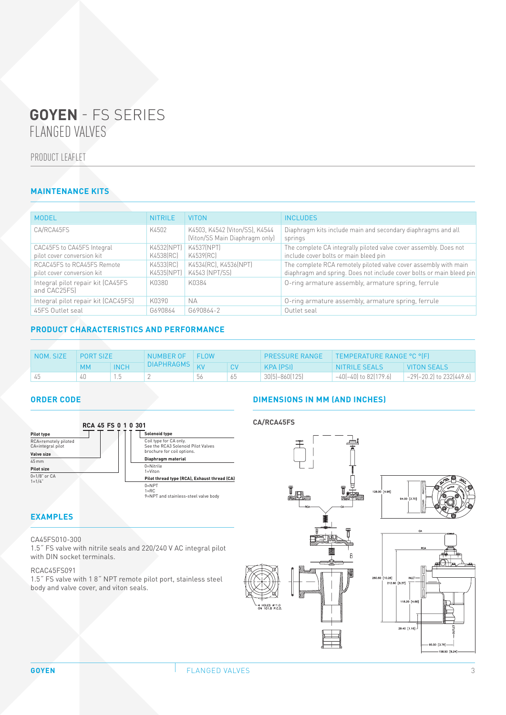# PRODUCT LEAFLET

# **MAINTENANCE KITS**

| <b>MODEL</b>                                             | <b>NITRILE</b>           | <b>VITON</b>                                                     | <b>INCLUDES</b>                                                                                                                          |
|----------------------------------------------------------|--------------------------|------------------------------------------------------------------|------------------------------------------------------------------------------------------------------------------------------------------|
| CA/RCA45FS                                               | K4502                    | K4503, K4542 (Viton/SS), K4544<br>(Viton/SS Main Diaphragm only) | Diaphragm kits include main and secondary diaphragms and all<br>springs                                                                  |
| CAC45FS to CA45FS Integral<br>pilot cover conversion kit | K4532(NPT)<br>K4538 (RC) | K4537(NPT)<br>K4539 [RC]                                         | The complete CA integrally piloted valve cover assembly. Does not<br>include cover bolts or main bleed pin                               |
| RCAC45FS to RCA45FS Remote<br>pilot cover conversion kit | K4533(RC)<br>K4535(NPT)  | K4534(RC), K4536(NPT)<br>K4543 (NPT/SS)                          | The complete RCA remotely piloted valve cover assembly with main<br>diaphragm and spring. Does not include cover bolts or main bleed pin |
| Integral pilot repair kit (CA45FS<br>and CAC25FS)        | K0380                    | K0384                                                            | O-ring armature assembly, armature spring, ferrule                                                                                       |
| Integral pilot repair kit (CAC45FS)                      | K0390                    | <b>NA</b>                                                        | O-ring armature assembly, armature spring, ferrule                                                                                       |
| 45FS Outlet seal                                         | G690864                  | G690864-2                                                        | Outlet seal                                                                                                                              |

# **PRODUCT CHARACTERISTICS AND PERFORMANCE**

| NOM. SIZE | <b>PORT SIZE</b> |             | NUMBER OF     | FI OW |    | <b>PRESSURE RANGE</b> | TEMPERATURE RANGE °C °(F) |                            |
|-----------|------------------|-------------|---------------|-------|----|-----------------------|---------------------------|----------------------------|
|           | мм               | <b>INCH</b> | DIAPHRAGMS KV |       |    | KPA (PSI)             | NITRILE SEALS             | VITON SEALS                |
|           |                  |             |               | 56    | 65 | $30(5)-860(125)$      | -40(-40) to 82(179.6)     | $-29(-20.2)$ to 232(449.6) |

#### **ORDER CODE**



# **EXAMPLES**

#### CA45FS010-300

1.5˝ FS valve with nitrile seals and 220/240 V AC integral pilot with DIN socket terminals.

#### RCAC45FS091

1.5˝ FS valve with 1 8˝ NPT remote pilot port, stainless steel body and valve cover, and viton seals.

# **DIMENSIONS IN MM (AND INCHES)**

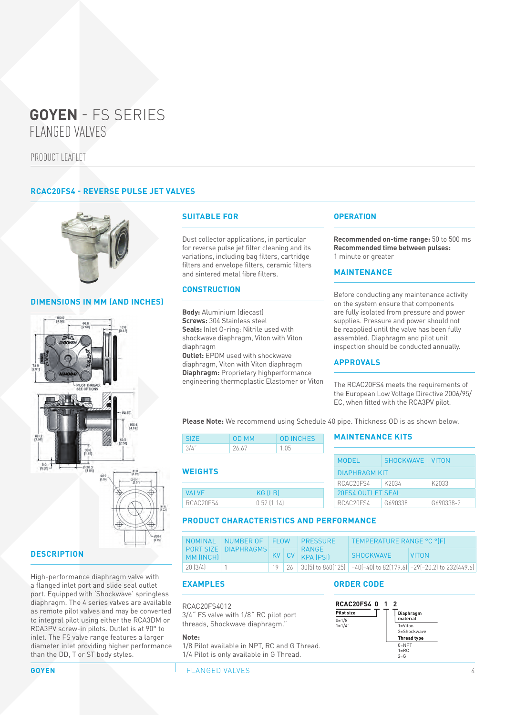PRODUCT LEAFLET

## **RCAC20FS4 - REVERSE PULSE JET VALVES**



#### **DIMENSIONS IN MM (AND INCHES)**



# **DESCRIPTION**

High-performance diaphragm valve with a flanged inlet port and slide seal outlet port. Equipped with 'Shockwave' springless diaphragm. The 4 series valves are available as remote pilot valves and may be converted to integral pilot using either the RCA3DM or RCA3PV screw-in pilots. Outlet is at 90° to inlet. The FS valve range features a larger diameter inlet providing higher performance than the DD, T or ST body styles.

#### **SUITABLE FOR**

Dust collector applications, in particular for reverse pulse jet filter cleaning and its variations, including bag filters, cartridge filters and envelope filters, ceramic filters and sintered metal fibre filters.

#### **CONSTRUCTION**

**Body:** Aluminium (diecast) **Screws:** 304 Stainless steel **Seals:** Inlet O-ring: Nitrile used with shockwave diaphragm, Viton with Viton diaphragm **Outlet:** EPDM used with shockwave

diaphragm, Viton with Viton diaphragm **Diaphragm:** Proprietary highperformance engineering thermoplastic Elastomer or Viton

#### **OPERATION**

**Recommended on-time range:** 50 to 500 ms **Recommended time between pulses:** 1 minute or greater

#### **MAINTENANCE**

Before conducting any maintenance activity on the system ensure that components are fully isolated from pressure and power supplies. Pressure and power should not be reapplied until the valve has been fully assembled. Diaphragm and pilot unit inspection should be conducted annually.

#### **APPROVALS**

The RCAC20FS4 meets the requirements of the European Low Voltage Directive 2006/95/ EC, when fitted with the RCA3PV pilot.

**Please Note:** We recommend using Schedule 40 pipe. Thickness OD is as shown below.

| SIZE. | <b>OD MM</b> | <b>OD INCHES</b> |
|-------|--------------|------------------|
| -3/4" | 26.67        | -1.05            |

#### **WEIGHTS**

| VAI VF.   | KG (LB)    |
|-----------|------------|
| RCAC20ES4 | 0.52(1.14) |

#### **MAINTENANCE KITS**

| SHOCKWAVE VITON |                                           |
|-----------------|-------------------------------------------|
|                 |                                           |
| K2034           | K2033                                     |
|                 |                                           |
| G690338         | G690338-2                                 |
|                 | <b>DIAPHRAGM KIT</b><br>20FS4 OUTLET SEAL |

#### **PRODUCT CHARACTERISTICS AND PERFORMANCE**

|              | NOMINAL NUMBER OF FLOW |  | <b>PRESSURE</b>                     | TEMPERATURE RANGE °C °IFI |                                                                                    |
|--------------|------------------------|--|-------------------------------------|---------------------------|------------------------------------------------------------------------------------|
| MM (INCH)    | PORT SIZE   DIAPHRAGMS |  | 1 RANGE I<br>$KV$ $CV$ $KPA$ $[PS]$ | SHOCKWAVE                 | <b>VITON</b>                                                                       |
| $'$ 20 (3/4) |                        |  |                                     |                           | 19   26   30(5) to 860(125)   $-40(-40)$ to 82(179.6)   $-29(-20.2)$ to 232(449.6) |

#### **EXAMPLES**

RCAC20FS4012 3/4˝ FS valve with 1/8˝ RC pilot port threads, Shockwave diaphragm."

#### **Note:**

1/8 Pilot available in NPT, RC and G Thread. 1/4 Pilot is only available in G Thread.

#### **ORDER CODE**



**GOYEN FLANGED VALVES**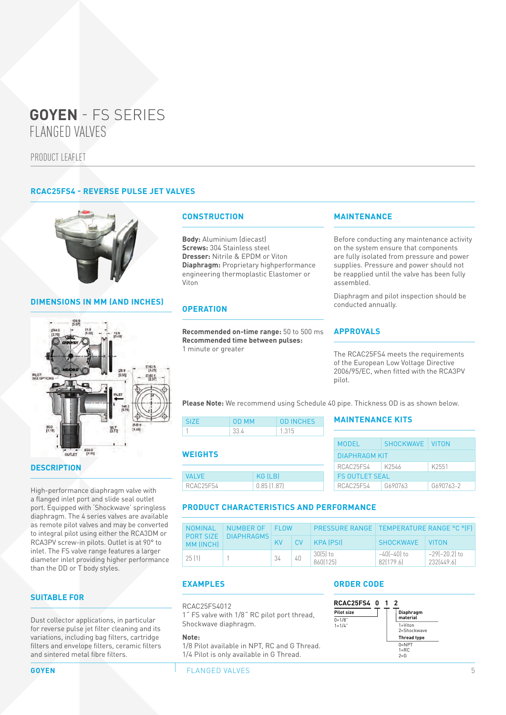PRODUCT LEAFLET

## **RCAC25FS4 - REVERSE PULSE JET VALVES**



## **DIMENSIONS IN MM (AND INCHES)**



## **DESCRIPTION**

High-performance diaphragm valve with a flanged inlet port and slide seal outlet port. Equipped with 'Shockwave' springless diaphragm. The 4 series valves are available as remote pilot valves and may be converted to integral pilot using either the RCA3DM or RCA3PV screw-in pilots. Outlet is at 90° to inlet. The FS valve range features a larger diameter inlet providing higher performance than the DD or T body styles.

#### **SUITABLE FOR**

Dust collector applications, in particular for reverse pulse jet filter cleaning and its variations, including bag filters, cartridge filters and envelope filters, ceramic filters and sintered metal fibre filters.

#### **CONSTRUCTION**

**Body:** Aluminium (diecast) **Screws:** 304 Stainless steel **Dresser:** Nitrile & EPDM or Viton **Diaphragm:** Proprietary highperformance engineering thermoplastic Elastomer or Viton

#### **OPERATION**

**Recommended on-time range:** 50 to 500 ms **Recommended time between pulses:** 1 minute or greater

#### **MAINTENANCE**

Before conducting any maintenance activity on the system ensure that components are fully isolated from pressure and power supplies. Pressure and power should not be reapplied until the valve has been fully assembled.

Diaphragm and pilot inspection should be conducted annually.

#### **APPROVALS**

The RCAC25FS4 meets the requirements of the European Low Voltage Directive 2006/95/EC, when fitted with the RCA3PV pilot.

**Please Note:** We recommend using Schedule 40 pipe. Thickness OD is as shown below.

| SIZE <sup>1</sup> | OD MM | <b>OD INCHES</b> |
|-------------------|-------|------------------|
|                   | 33 Y  | 1 3 1 5          |

#### **WEIGHTS**

| <b>VALVE</b> | KG (LB)    |
|--------------|------------|
| RCAC25FS4    | 0.85(1.87) |

#### **MAINTENANCE KITS**

| MODEL                 | SHOCKWAVE   VITON |           |  |  |  |
|-----------------------|-------------------|-----------|--|--|--|
| <b>DIAPHRAGM KIT</b>  |                   |           |  |  |  |
| RCAC25FS4             | K2546             | K2551     |  |  |  |
| <b>FS OUTLET SEAL</b> |                   |           |  |  |  |
| RCAC25FS4             | G690763           | G690763-2 |  |  |  |

#### **PRODUCT CHARACTERISTICS AND PERFORMANCE**

| <b>NOMINAL</b>         | NUMBER OF<br><b>DIAPHRAGMS</b> | <b>FI OW</b> |           | PRESSURE RANGE   TEMPERATURE RANGE °C °(F) |                          |                             |
|------------------------|--------------------------------|--------------|-----------|--------------------------------------------|--------------------------|-----------------------------|
| PORT SIZE<br>MM (INCH) |                                | KV.          | <b>CV</b> | <b>KPA (PSI)</b>                           | <b>SHOCKWAVE</b>         | <b>VITON</b>                |
| 25.11                  |                                | 34           | 40        | $30(5)$ to<br>860[125]                     | -40(-40) to<br>82[179.6] | –29(–20.2) to<br>232(449.6) |

# **EXAMPLES**

RCAC25FS4012

1˝ FS valve with 1/8˝ RC pilot port thread, Shockwave diaphragm.

#### **Note:**

1/8 Pilot available in NPT, RC and G Thread. 1/4 Pilot is only available in G Thread.

#### **ORDER CODE**



**GOYEN FLANGED VALVES**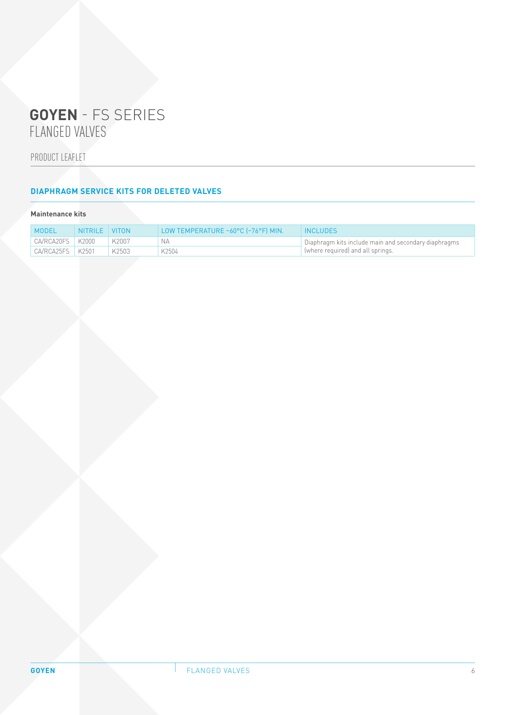PRODUCT LEAFLET

# **DIAPHRAGM SERVICE KITS FOR DELETED VALVES**

## **Maintenance kits**

| <b>MODEL</b>         | NITRILE VITON |       | LOW TEMPERATURE -60°C (-76°F) MIN. | <b>INCLUDES</b>                                                                          |
|----------------------|---------------|-------|------------------------------------|------------------------------------------------------------------------------------------|
| $CAYRCA20FS$ $K2000$ |               | K2007 |                                    | Diaphragm kits include main and secondary diaphragms<br>where required) and all springs. |
| $CAYRCA25FS$ $K2501$ |               | K2503 | K2504                              |                                                                                          |